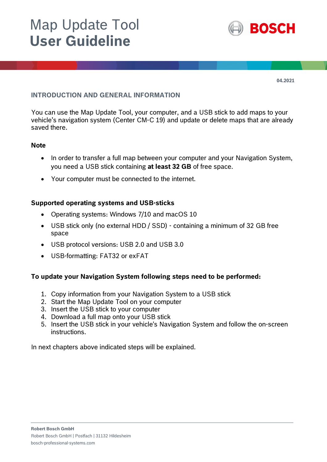# Map Update Tool **User Guideline**



**04.2021**

#### **INTRODUCTION AND GENERAL INFORMATION**

You can use the Map Update Tool, your computer, and a USB stick to add maps to your vehicle's navigation system (Center CM-C 19) and update or delete maps that are already saved there.

#### **Note**

- In order to transfer a full map between your computer and your Navigation System, you need a USB stick containing **at least 32 GB** of free space.
- Your computer must be connected to the internet.

#### **Supported operating systems and USB-sticks**

- Operating systems: Windows 7/10 and macOS 10
- USB stick only (no external HDD / SSD) containing a minimum of 32 GB free space
- USB protocol versions: USB 2.0 and USB 3.0
- USB-formatting: FAT32 or exFAT

# **To update your Navigation System following steps need to be performed:**

- 1. Copy information from your Navigation System to a USB stick
- 2. Start the Map Update Tool on your computer
- 3. Insert the USB stick to your computer
- 4. Download a full map onto your USB stick
- 5. Insert the USB stick in your vehicle's Navigation System and follow the on-screen instructions.

In next chapters above indicated steps will be explained.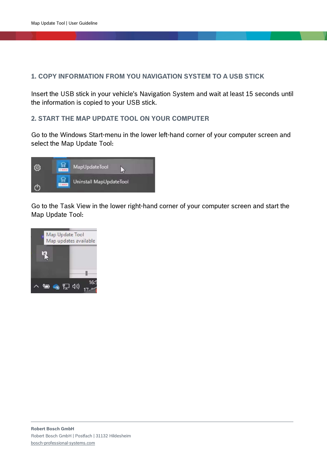## **1. COPY INFORMATION FROM YOU NAVIGATION SYSTEM TO A USB STICK**

Insert the USB stick in your vehicle's Navigation System and wait at least 15 seconds until the information is copied to your USB stick.

#### **2. START THE MAP UPDATE TOOL ON YOUR COMPUTER**

Go to the Windows Start-menu in the lower left-hand corner of your computer screen and select the Map Update Tool:



Go to the Task View in the lower right-hand corner of your computer screen and start the Map Update Tool:

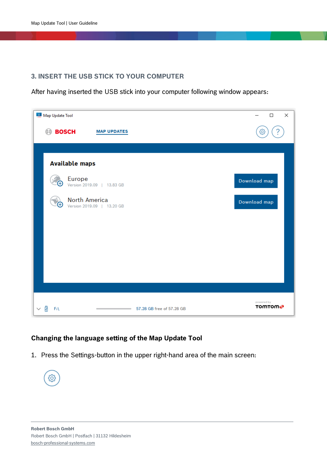# **3. INSERT THE USB STICK TO YOUR COMPUTER**

After having inserted the USB stick into your computer following window appears:

| Map Update Tool                                                   | ×<br>$\Box$                 |
|-------------------------------------------------------------------|-----------------------------|
| <b>BOSCH</b><br><b>MAP UPDATES</b><br>(⊟)                         | ?<br>ශ                      |
|                                                                   |                             |
| <b>Available maps</b>                                             |                             |
| Europe<br>Version 2019.09   13.83 GB                              | Download map                |
| North America<br>Œ<br>Version 2019.09   13.20 GB                  | Download map                |
|                                                                   |                             |
|                                                                   |                             |
|                                                                   |                             |
|                                                                   |                             |
| Ÿ<br>57.28 GB free of 57.28 GB<br>$F_i \setminus$<br>$\checkmark$ | powered by<br><b>TOMTOM</b> |

# **Changing the language setting of the Map Update Tool**

1. Press the Settings-button in the upper right-hand area of the main screen:

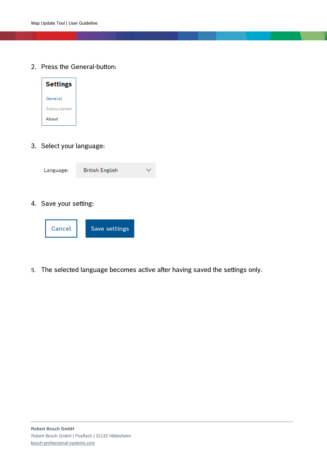2. Press the General-button:



3. Select your language:



4. Save your setting:



5. The selected language becomes active after having saved the settings only.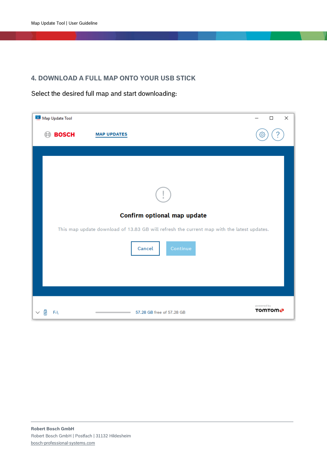# **4. DOWNLOAD A FULL MAP ONTO YOUR USB STICK**

Select the desired full map and start downloading:

| Map Update Tool                                                                            | ×<br>$\Box$                 |
|--------------------------------------------------------------------------------------------|-----------------------------|
| <b>BOSCH</b><br><b>MAP UPDATES</b>                                                         | O,                          |
|                                                                                            |                             |
|                                                                                            |                             |
| Confirm optional map update                                                                |                             |
| This map update download of 13.83 GB will refresh the current map with the latest updates. |                             |
| Continue<br>Cancel                                                                         |                             |
|                                                                                            |                             |
|                                                                                            |                             |
| 57.28 GB free of 57.28 GB<br>闸<br>$F_i \setminus$                                          | powered by<br><b>TOMTOM</b> |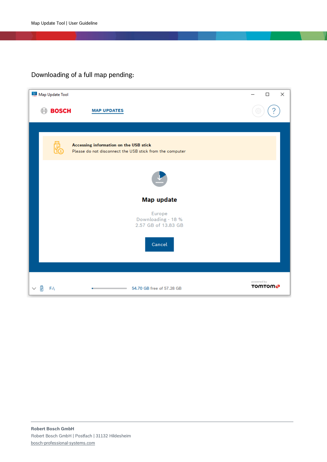# Downloading of a full map pending:

| Map Update Tool |                                                                                                    | ×<br>$\Box$                 |
|-----------------|----------------------------------------------------------------------------------------------------|-----------------------------|
| <b>BOSCH</b>    | <b>MAP UPDATES</b>                                                                                 |                             |
|                 |                                                                                                    |                             |
|                 | Accessing information on the USB stick<br>Please do not disconnect the USB stick from the computer |                             |
|                 |                                                                                                    |                             |
|                 | Map update                                                                                         |                             |
|                 | Europe<br>Downloading - 18 %<br>2.57 GB of 13.83 GB                                                |                             |
|                 | Cancel                                                                                             |                             |
|                 |                                                                                                    |                             |
| $F_i \setminus$ | 54.70 GB free of 57.28 GB                                                                          | powered by<br><b>TOMTOM</b> |